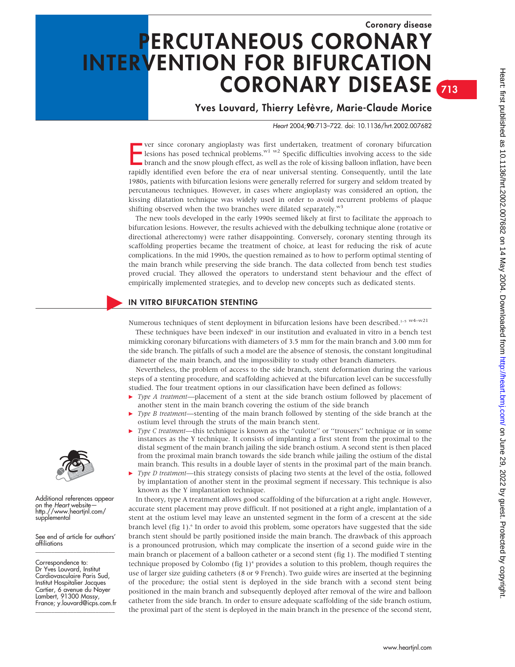# Coronary disease PERCUTANEOUS CORONARY INTERVENTION FOR BIFURCATION CORONARY DISEASE 713

# Yves Louvard, Thierry Lefèvre, Marie-Claude Morice

# Heart 2004;90:713–722. doi: 10.1136/hrt.2002.007682

ver since coronary angioplasty was first undertaken, treatment of coronary bifurcation<br>lesions has posed technical problems.<sup>w1</sup> <sup>w2</sup> Specific difficulties involving access to the side<br>branch and the snow plough effect, as ver since coronary angioplasty was first undertaken, treatment of coronary bifurcation lesions has posed technical problems. $w_1$   $w_2$  Specific difficulties involving access to the side branch and the snow plough effect, as well as the role of kissing balloon inflation, have been 1980s, patients with bifurcation lesions were generally referred for surgery and seldom treated by percutaneous techniques. However, in cases where angioplasty was considered an option, the kissing dilatation technique was widely used in order to avoid recurrent problems of plaque shifting observed when the two branches were dilated separately.<sup>w3</sup>

The new tools developed in the early 1990s seemed likely at first to facilitate the approach to bifurcation lesions. However, the results achieved with the debulking technique alone (rotative or directional atherectomy) were rather disappointing. Conversely, coronary stenting through its scaffolding properties became the treatment of choice, at least for reducing the risk of acute complications. In the mid 1990s, the question remained as to how to perform optimal stenting of the main branch while preserving the side branch. The data collected from bench test studies proved crucial. They allowed the operators to understand stent behaviour and the effect of empirically implemented strategies, and to develop new concepts such as dedicated stents.

# IN VITRO BIFURCATION STENTING

Numerous techniques of stent deployment in bifurcation lesions have been described.<sup>1-5 w4-w21</sup>

These techniques have been indexed<sup>6</sup> in our institution and evaluated in vitro in a bench test mimicking coronary bifurcations with diameters of 3.5 mm for the main branch and 3.00 mm for the side branch. The pitfalls of such a model are the absence of stenosis, the constant longitudinal diameter of the main branch, and the impossibility to study other branch diameters.

Nevertheless, the problem of access to the side branch, stent deformation during the various steps of a stenting procedure, and scaffolding achieved at the bifurcation level can be successfully studied. The four treatment options in our classification have been defined as follows:

- ▶ Type A treatment—placement of a stent at the side branch ostium followed by placement of another stent in the main branch covering the ostium of the side branch
- Type B treatment—stenting of the main branch followed by stenting of the side branch at the ostium level through the struts of the main branch stent.
- Type C treatment—this technique is known as the "culotte" or "trousers" technique or in some instances as the Y technique. It consists of implanting a first stent from the proximal to the distal segment of the main branch jailing the side branch ostium. A second stent is then placed from the proximal main branch towards the side branch while jailing the ostium of the distal main branch. This results in a double layer of stents in the proximal part of the main branch.
	- Type D treatment—this strategy consists of placing two stents at the level of the ostia, followed by implantation of another stent in the proximal segment if necessary. This technique is also known as the Y implantation technique.

In theory, type A treatment allows good scaffolding of the bifurcation at a right angle. However, accurate stent placement may prove difficult. If not positioned at a right angle, implantation of a stent at the ostium level may leave an unstented segment in the form of a crescent at the side branch level (fig 1).<sup>6</sup> In order to avoid this problem, some operators have suggested that the side branch stent should be partly positioned inside the main branch. The drawback of this approach is a pronounced protrusion, which may complicate the insertion of a second guide wire in the main branch or placement of a balloon catheter or a second stent (fig 1). The modified T stenting technique proposed by Colombo (fig  $1$ )<sup>4</sup> provides a solution to this problem, though requires the use of larger size guiding catheters (8 or 9 French). Two guide wires are inserted at the beginning of the procedure; the ostial stent is deployed in the side branch with a second stent being positioned in the main branch and subsequently deployed after removal of the wire and balloon catheter from the side branch. In order to ensure adequate scaffolding of the side branch ostium, the proximal part of the stent is deployed in the main branch in the presence of the second stent,



Additional references appear on the Heart websitehttp.//www.heartjnl.com/ supplemental

#### See end of article for authors' affiliations \_\_\_\_\_\_\_\_\_\_\_\_\_\_\_\_\_\_\_\_\_\_\_\_\_

Correspondence to: Dr Yves Louvard, Institut Cardiovasculaire Paris Sud, Institut Hospitalier Jacques Cartier, 6 avenue du Noyer Lambert, 91300 Massy, France; y.louvard@icps.com.fr \_\_\_\_\_\_\_\_\_\_\_\_\_\_\_\_\_\_\_\_\_\_\_\_\_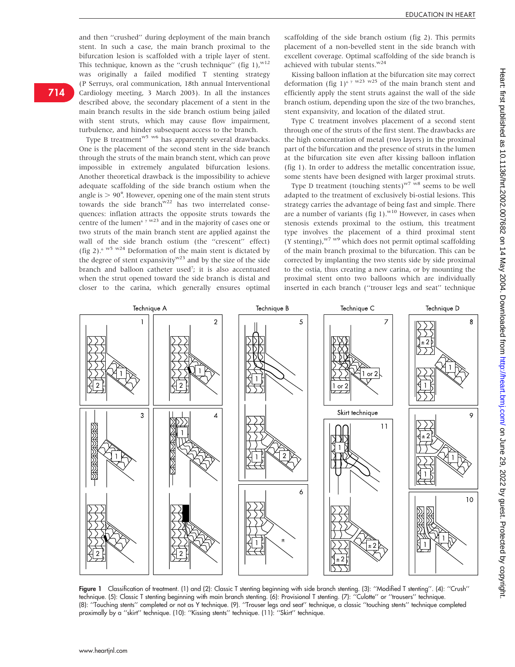and then ''crushed'' during deployment of the main branch stent. In such a case, the main branch proximal to the bifurcation lesion is scaffolded with a triple layer of stent. This technique, known as the "crush technique" (fig 1), $^{w12}$ was originally a failed modified T stenting strategy (P Serruys, oral communication, 18th annual Interventional Cardiology meeting, 3 March 2003). In all the instances described above, the secondary placement of a stent in the main branch results in the side branch ostium being jailed with stent struts, which may cause flow impairment, turbulence, and hinder subsequent access to the branch.

Type B treatment<sup>w5 w6</sup> has apparently several drawbacks. One is the placement of the second stent in the side branch through the struts of the main branch stent, which can prove impossible in extremely angulated bifurcation lesions. Another theoretical drawback is the impossibility to achieve adequate scaffolding of the side branch ostium when the angle is  $> 90^\circ$ . However, opening one of the main stent struts towards the side branch<sup>w22</sup> has two interrelated consequences: inflation attracts the opposite struts towards the centre of the lumen<sup>6 7 w23</sup> and in the majority of cases one or two struts of the main branch stent are applied against the wall of the side branch ostium (the "crescent" effect) (fig 2).<sup>6 w5 w24</sup> Deformation of the main stent is dictated by the degree of stent expansivity<sup>w23</sup> and by the size of the side branch and balloon catheter used<sup>7</sup>; it is also accentuated when the strut opened toward the side branch is distal and closer to the carina, which generally ensures optimal

scaffolding of the side branch ostium (fig 2). This permits placement of a non-bevelled stent in the side branch with excellent coverage. Optimal scaffolding of the side branch is achieved with tubular stents.<sup>w24</sup>

Kissing balloon inflation at the bifurcation site may correct deformation (fig 1)<sup>67 w23 w25</sup> of the main branch stent and efficiently apply the stent struts against the wall of the side branch ostium, depending upon the size of the two branches, stent expansivity, and location of the dilated strut.

Type C treatment involves placement of a second stent through one of the struts of the first stent. The drawbacks are the high concentration of metal (two layers) in the proximal part of the bifurcation and the presence of struts in the lumen at the bifurcation site even after kissing balloon inflation (fig 1). In order to address the metallic concentration issue, some stents have been designed with larger proximal struts.

Type D treatment (touching stents) $w^7$  w<sub>8</sub> seems to be well adapted to the treatment of exclusively bi-ostial lesions. This strategy carries the advantage of being fast and simple. There are a number of variants (fig 1). $^{w10}$  However, in cases when stenosis extends proximal to the ostium, this treatment type involves the placement of a third proximal stent (Y stenting),  $^{w7 \ w9}$  which does not permit optimal scaffolding of the main branch proximal to the bifurcation. This can be corrected by implanting the two stents side by side proximal to the ostia, thus creating a new carina, or by mounting the proximal stent onto two balloons which are individually inserted in each branch (''trouser legs and seat'' technique



Figure 1 Classification of treatment. (1) and (2): Classic T stenting beginning with side branch stenting. (3): ''Modified T stenting''. (4): ''Crush'' technique. (5): Classic T stenting beginning with main branch stenting. (6): Provisional T stenting. (7): ''Culotte'' or ''trousers'' technique. (8): ''Touching stents'' completed or not as Y technique. (9). ''Trouser legs and seat'' technique, a classic ''touching stents'' technique completed proximally by a ''skirt'' technique. (10): ''Kissing stents'' technique. (11): ''Skirt'' technique.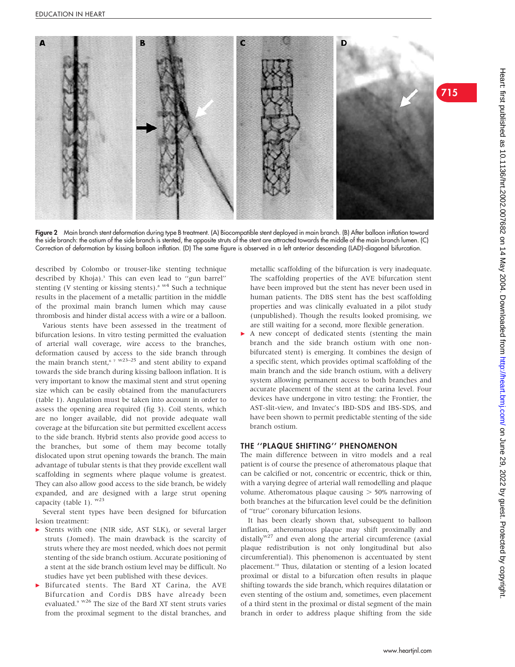

Figure 2 Main branch stent deformation during type B treatment. (A) Biocompatible stent deployed in main branch. (B) After balloon inflation toward the side branch: the ostium of the side branch is stented, the opposite struts of the stent are attracted towards the middle of the main branch lumen. (C) Correction of deformation by kissing balloon inflation. (D) The same figure is observed in a left anterior descending (LAD)-diagonal bifurcation.

described by Colombo or trouser-like stenting technique described by Khoja).<sup>3</sup> This can even lead to "gun barrel" stenting (V stenting or kissing stents).<sup>8 w4</sup> Such a technique results in the placement of a metallic partition in the middle of the proximal main branch lumen which may cause thrombosis and hinder distal access with a wire or a balloon.

Various stents have been assessed in the treatment of bifurcation lesions. In vitro testing permitted the evaluation of arterial wall coverage, wire access to the branches, deformation caused by access to the side branch through the main branch stent,<sup>67 w23–25</sup> and stent ability to expand towards the side branch during kissing balloon inflation. It is very important to know the maximal stent and strut opening size which can be easily obtained from the manufacturers (table 1). Angulation must be taken into account in order to assess the opening area required (fig 3). Coil stents, which are no longer available, did not provide adequate wall coverage at the bifurcation site but permitted excellent access to the side branch. Hybrid stents also provide good access to the branches, but some of them may become totally dislocated upon strut opening towards the branch. The main advantage of tubular stents is that they provide excellent wall scaffolding in segments where plaque volume is greatest. They can also allow good access to the side branch, be widely expanded, and are designed with a large strut opening capacity (table 1). w23

Several stent types have been designed for bifurcation lesion treatment:

- c Stents with one (NIR side, AST SLK), or several larger struts (Jomed). The main drawback is the scarcity of struts where they are most needed, which does not permit stenting of the side branch ostium. Accurate positioning of a stent at the side branch ostium level may be difficult. No studies have yet been published with these devices.
- Bifurcated stents. The Bard XT Carina, the AVE Bifurcation and Cordis DBS have already been evaluated.<sup>9 w26</sup> The size of the Bard XT stent struts varies from the proximal segment to the distal branches, and

metallic scaffolding of the bifurcation is very inadequate. The scaffolding properties of the AVE bifurcation stent have been improved but the stent has never been used in human patients. The DBS stent has the best scaffolding properties and was clinically evaluated in a pilot study (unpublished). Though the results looked promising, we are still waiting for a second, more flexible generation.

 $\blacktriangleright$  A new concept of dedicated stents (stenting the main branch and the side branch ostium with one nonbifurcated stent) is emerging. It combines the design of a specific stent, which provides optimal scaffolding of the main branch and the side branch ostium, with a delivery system allowing permanent access to both branches and accurate placement of the stent at the carina level. Four devices have undergone in vitro testing: the Frontier, the AST-slit-view, and Invatec's IBD-SDS and IBS-SDS, and have been shown to permit predictable stenting of the side branch ostium.

# THE ''PLAQUE SHIFTING'' PHENOMENON

The main difference between in vitro models and a real patient is of course the presence of atheromatous plaque that can be calcified or not, concentric or eccentric, thick or thin, with a varying degree of arterial wall remodelling and plaque volume. Atheromatous plaque causing  $> 50\%$  narrowing of both branches at the bifurcation level could be the definition of ''true'' coronary bifurcation lesions.

It has been clearly shown that, subsequent to balloon inflation, atheromatous plaque may shift proximally and distally $^{w27}$  and even along the arterial circumference (axial plaque redistribution is not only longitudinal but also circumferential). This phenomenon is accentuated by stent placement.10 Thus, dilatation or stenting of a lesion located proximal or distal to a bifurcation often results in plaque shifting towards the side branch, which requires dilatation or even stenting of the ostium and, sometimes, even placement of a third stent in the proximal or distal segment of the main branch in order to address plaque shifting from the side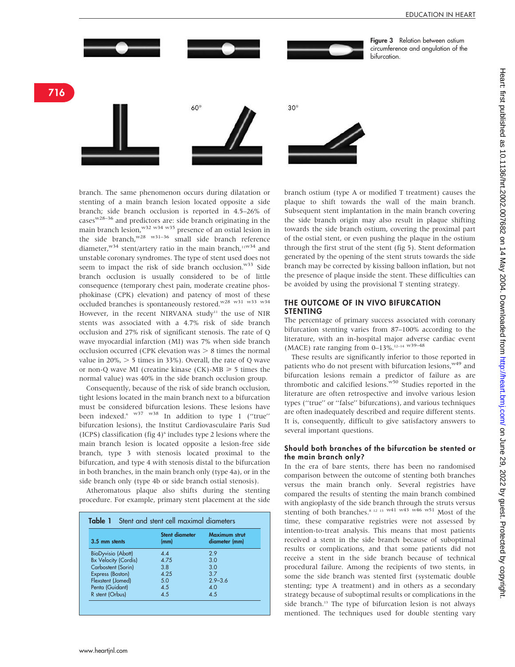

branch. The same phenomenon occurs during dilatation or stenting of a main branch lesion located opposite a side branch; side branch occlusion is reported in 4.5–26% of cases $^{w28-36}$  and predictors are: side branch originating in the main branch lesion,  $w^{32}$   $w^{34}$   $w^{35}$  presence of an ostial lesion in the side branch,  $w^{28}$   $w^{31-36}$  small side branch reference diameter,  $^{w34}$  stent/artery ratio in the main branch,  $11^{w34}$  and unstable coronary syndromes. The type of stent used does not seem to impact the risk of side branch occlusion. $^{w33}$  Side branch occlusion is usually considered to be of little consequence (temporary chest pain, moderate creatine phosphokinase (CPK) elevation) and patency of most of these occluded branches is spontaneously restored.w28 w31 w33 w34 However, in the recent NIRVANA study<sup>11</sup> the use of NIR stents was associated with a 4.7% risk of side branch occlusion and 27% risk of significant stenosis. The rate of Q wave myocardial infarction (MI) was 7% when side branch occlusion occurred (CPK elevation was  $> 8$  times the normal value in 20%,  $>$  5 times in 33%). Overall, the rate of Q wave or non-Q wave MI (creatine kinase  $(CK)$ -MB  $\geq 5$  times the normal value) was 40% in the side branch occlusion group.

Consequently, because of the risk of side branch occlusion, tight lesions located in the main branch next to a bifurcation must be considered bifurcation lesions. These lesions have been indexed.<sup>6 w37 w38</sup> In addition to type 1 ("true" bifurcation lesions), the Institut Cardiovasculaire Paris Sud (ICPS) classification (fig  $4$ )<sup>6</sup> includes type 2 lesions where the main branch lesion is located opposite a lesion-free side branch, type 3 with stenosis located proximal to the bifurcation, and type 4 with stenosis distal to the bifurcation in both branches, in the main branch only (type 4a), or in the side branch only (type 4b or side branch ostial stenosis).

Atheromatous plaque also shifts during the stenting procedure. For example, primary stent placement at the side

| 3.5 mm stents               | <b>Stent diameter</b><br>(mm) | Maximum strut<br>diameter (mm) |
|-----------------------------|-------------------------------|--------------------------------|
| <b>BioDyvisio (Abott)</b>   | 4.4                           | 2.9                            |
| <b>Bx Velocity (Cordis)</b> | 4.75                          | 3.0                            |
| Carbostent (Sorin)          | 3.8                           | 3 <sub>0</sub>                 |
| Express (Boston)            | 4.25                          | 37                             |
| Flexstent (Jomed)           | 5.0                           | $2.9 - 3.6$                    |
| Penta (Guidant)             | 4.5                           | 4.0                            |
| R stent (Orbus)             | 4.5                           | 4.5                            |

branch ostium (type A or modified T treatment) causes the plaque to shift towards the wall of the main branch. Subsequent stent implantation in the main branch covering the side branch origin may also result in plaque shifting towards the side branch ostium, covering the proximal part of the ostial stent, or even pushing the plaque in the ostium through the first strut of the stent (fig 5). Stent deformation generated by the opening of the stent struts towards the side branch may be corrected by kissing balloon inflation, but not the presence of plaque inside the stent. These difficulties can be avoided by using the provisional T stenting strategy.

# THE OUTCOME OF IN VIVO BIFURCATION STENTING

The percentage of primary success associated with coronary bifurcation stenting varies from 87–100% according to the literature, with an in-hospital major adverse cardiac event (MACE) rate ranging from  $0-13\%$ .<sup>12-14 w39-48</sup>

These results are significantly inferior to those reported in patients who do not present with bifurcation lesions,<sup>w49</sup> and bifurcation lesions remain a predictor of failure as are thrombotic and calcified lesions.<sup>w50</sup> Studies reported in the literature are often retrospective and involve various lesion types (''true'' or ''false'' bifurcations), and various techniques are often inadequately described and require different stents. It is, consequently, difficult to give satisfactory answers to several important questions.

### Should both branches of the bifurcation be stented or the main branch only?

In the era of bare stents, there has been no randomised comparison between the outcome of stenting both branches versus the main branch only. Several registries have compared the results of stenting the main branch combined with angioplasty of the side branch through the struts versus stenting of both branches.<sup>8 12 13</sup> <sup>w41 w43 w46 w51</sup> Most of the time, these comparative registries were not assessed by intention-to-treat analysis. This means that most patients received a stent in the side branch because of suboptimal results or complications, and that some patients did not receive a stent in the side branch because of technical procedural failure. Among the recipients of two stents, in some the side branch was stented first (systematic double stenting; type A treatment) and in others as a secondary strategy because of suboptimal results or complications in the side branch.<sup>13</sup> The type of bifurcation lesion is not always mentioned. The techniques used for double stenting vary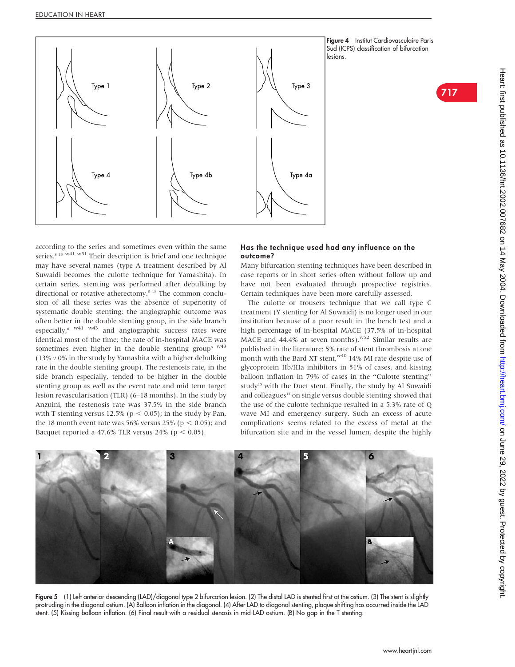

#### Figure 4 Institut Cardiovasculaire Paris Sud (ICPS) classification of bifurcation lesions.

according to the series and sometimes even within the same series.<sup>8 13 w41 w51</sup> Their description is brief and one technique may have several names (type A treatment described by Al Suwaidi becomes the culotte technique for Yamashita). In certain series, stenting was performed after debulking by directional or rotative atherectomy.<sup>8 13</sup> The common conclusion of all these series was the absence of superiority of systematic double stenting; the angiographic outcome was often better in the double stenting group, in the side branch especially, $8 \text{ w41}$  w<sub>43</sub> and angiographic success rates were identical most of the time; the rate of in-hospital MACE was sometimes even higher in the double stenting group<sup>8  $w43$ </sup>  $(13\% v 0\% \text{ in the study by Yamashita with a higher debulking})$ rate in the double stenting group). The restenosis rate, in the side branch especially, tended to be higher in the double stenting group as well as the event rate and mid term target lesion revascularisation (TLR) (6–18 months). In the study by Anzuini, the restenosis rate was 37.5% in the side branch with T stenting versus 12.5% ( $p < 0.05$ ); in the study by Pan, the 18 month event rate was 56% versus 25% ( $p < 0.05$ ); and Bacquet reported a 47.6% TLR versus  $24\%$  (p < 0.05).

## Has the technique used had any influence on the outcome?

Many bifurcation stenting techniques have been described in case reports or in short series often without follow up and have not been evaluated through prospective registries. Certain techniques have been more carefully assessed.

The culotte or trousers technique that we call type C treatment (Y stenting for Al Suwaidi) is no longer used in our institution because of a poor result in the bench test and a high percentage of in-hospital MACE (37.5% of in-hospital MACE and  $44.4\%$  at seven months).<sup>w52</sup> Similar results are published in the literature: 5% rate of stent thrombosis at one month with the Bard XT stent, $^{w40}$  14% MI rate despite use of glycoprotein IIb/IIIa inhibitors in 51% of cases, and kissing balloon inflation in 79% of cases in the ''Culotte stenting'' study<sup>15</sup> with the Duet stent. Finally, the study by Al Suwaidi and colleagues<sup>13</sup> on single versus double stenting showed that the use of the culotte technique resulted in a 5.3% rate of Q wave MI and emergency surgery. Such an excess of acute complications seems related to the excess of metal at the bifurcation site and in the vessel lumen, despite the highly



Figure 5 (1) Left anterior descending (LAD)/diagonal type 2 bifurcation lesion. (2) The distal LAD is stented first at the ostium. (3) The stent is slightly protruding in the diagonal ostium. (A) Balloon inflation in the diagonal. (4) After LAD to diagonal stenting, plaque shifting has occurred inside the LAD stent. (5) Kissing balloon inflation. (6) Final result with a residual stenosis in mid LAD ostium. (B) No gap in the T stenting.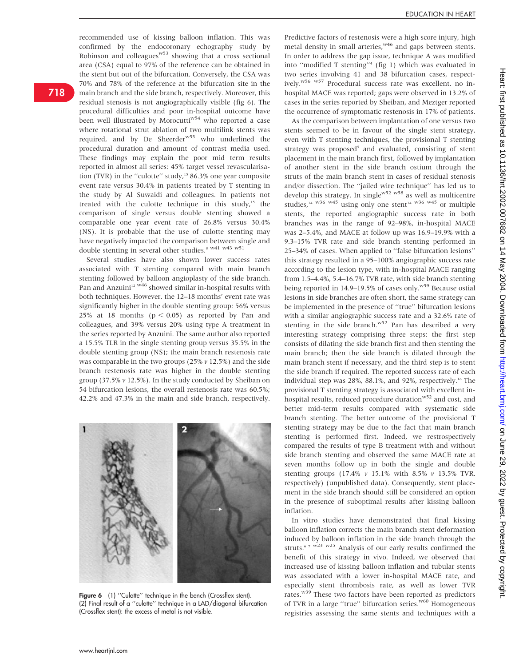recommended use of kissing balloon inflation. This was confirmed by the endocoronary echography study by Robinson and colleagues $^{w53}$  showing that a cross sectional area (CSA) equal to 97% of the reference can be obtained in the stent but out of the bifurcation. Conversely, the CSA was 70% and 78% of the reference at the bifurcation site in the main branch and the side branch, respectively. Moreover, this residual stenosis is not angiographically visible (fig 6). The procedural difficulties and poor in-hospital outcome have been well illustrated by Morocutti<sup>w54</sup> who reported a case where rotational strut ablation of two multilink stents was required, and by De Sheerder<sup>w55</sup> who underlined the procedural duration and amount of contrast media used. These findings may explain the poor mid term results reported in almost all series: 45% target vessel revascularisation (TVR) in the "culotte" study,<sup>15</sup> 86.3% one year composite event rate versus 30.4% in patients treated by T stenting in the study by Al Suwaidi and colleagues. In patients not treated with the culotte technique in this study, $15$  the comparison of single versus double stenting showed a comparable one year event rate of 26.8% versus 30.4% (NS). It is probable that the use of culotte stenting may have negatively impacted the comparison between single and double stenting in several other studies.<sup>8 w41 w43 w51</sup>

718

Several studies have also shown lower success rates associated with T stenting compared with main branch stenting followed by balloon angioplasty of the side branch. Pan and Anzuini<sup>12 w46</sup> showed similar in-hospital results with both techniques. However, the 12–18 months' event rate was significantly higher in the double stenting group: 56% versus 25% at 18 months ( $p < 0.05$ ) as reported by Pan and colleagues, and 39% versus 20% using type A treatment in the series reported by Anzuini. The same author also reported a 15.5% TLR in the single stenting group versus 35.5% in the double stenting group (NS); the main branch restenosis rate was comparable in the two groups  $(25\% v 12.5\%)$  and the side branch restenosis rate was higher in the double stenting group (37.5% v 12.5%). In the study conducted by Sheiban on 54 bifurcation lesions, the overall restenosis rate was 60.5%; 42.2% and 47.3% in the main and side branch, respectively.



Figure 6 (1) "Culotte" technique in the bench (Crossflex stent). (2) Final result of a ''culotte'' technique in a LAD/diagonal bifurcation (Crossflex stent): the excess of metal is not visible.

Predictive factors of restenosis were a high score injury, high metal density in small arteries,<sup>w46</sup> and gaps between stents. In order to address the gap issue, technique A was modified into ''modified T stenting''4 (fig 1) which was evaluated in two series involving 41 and 38 bifurcation cases, respectively.<sup>w56 w57</sup> Procedural success rate was excellent, no inhospital MACE was reported; gaps were observed in 13.2% of cases in the series reported by Sheiban, and Meztger reported the occurrence of symptomatic restenosis in 17% of patients.

As the comparison between implantation of one versus two stents seemed to be in favour of the single stent strategy, even with T stenting techniques, the provisional T stenting strategy was proposed<sup>5</sup> and evaluated, consisting of stent placement in the main branch first, followed by implantation of another stent in the side branch ostium through the struts of the main branch stent in cases of residual stenosis and/or dissection. The ''jailed wire technique'' has led us to develop this strategy. In single<sup>w52 w58</sup> as well as multicentre studies,<sup>14 w36 w45</sup> using only one stent<sup>14 w36 w45</sup> or multiple stents, the reported angiographic success rate in both branches was in the range of 92–98%, in-hospital MACE was 2–5.4%, and MACE at follow up was 16.9–19.9% with a 9.3–15% TVR rate and side branch stenting performed in 25–34% of cases. When applied to ''false bifurcation lesions'' this strategy resulted in a 95–100% angiographic success rate according to the lesion type, with in-hospital MACE ranging from 1.5–4.4%, 5.4–16.7% TVR rate, with side branch stenting being reported in 14.9–19.5% of cases only.<sup>w59</sup> Because ostial lesions in side branches are often short, the same strategy can be implemented in the presence of ''true'' bifurcation lesions with a similar angiographic success rate and a 32.6% rate of stenting in the side branch. $w52$  Pan has described a very interesting strategy comprising three steps: the first step consists of dilating the side branch first and then stenting the main branch; then the side branch is dilated through the main branch stent if necessary, and the third step is to stent the side branch if required. The reported success rate of each individual step was 28%, 88.1%, and 92%, respectively.16 The provisional T stenting strategy is associated with excellent inhospital results, reduced procedure duration<sup>w52</sup> and cost, and better mid-term results compared with systematic side branch stenting. The better outcome of the provisional T stenting strategy may be due to the fact that main branch stenting is performed first. Indeed, we restrospectively compared the results of type B treatment with and without side branch stenting and observed the same MACE rate at seven months follow up in both the single and double stenting groups (17.4% v 15.1% with 8.5% v 13.5% TVR, respectively) (unpublished data). Consequently, stent placement in the side branch should still be considered an option in the presence of suboptimal results after kissing balloon inflation.

In vitro studies have demonstrated that final kissing balloon inflation corrects the main branch stent deformation induced by balloon inflation in the side branch through the struts.<sup>6 7 w23 w25</sup> Analysis of our early results confirmed the benefit of this strategy in vivo. Indeed, we observed that increased use of kissing balloon inflation and tubular stents was associated with a lower in-hospital MACE rate, and especially stent thrombosis rate, as well as lower TVR rates.<sup>w39</sup> These two factors have been reported as predictors of TVR in a large "true" bifurcation series.<sup>w60</sup> Homogeneous registries assessing the same stents and techniques with a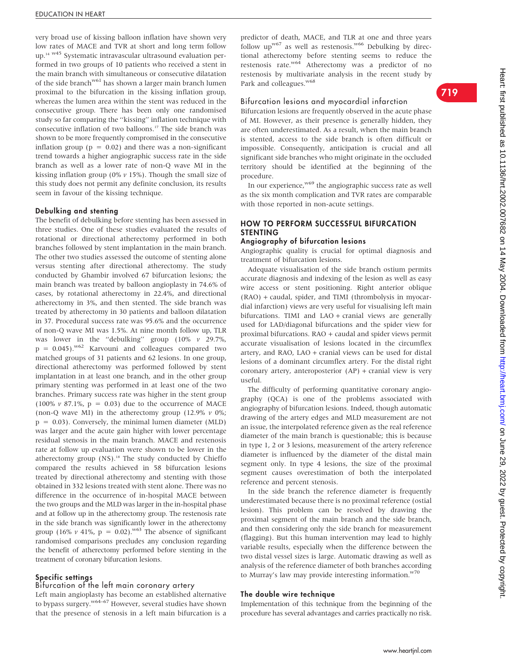very broad use of kissing balloon inflation have shown very low rates of MACE and TVR at short and long term follow up.<sup>14 w45</sup> Systematic intravascular ultrasound evaluation performed in two groups of 10 patients who received a stent in the main branch with simultaneous or consecutive dilatation of the side branch<sup>w61</sup> has shown a larger main branch lumen proximal to the bifurcation in the kissing inflation group, whereas the lumen area within the stent was reduced in the consecutive group. There has been only one randomised study so far comparing the ''kissing'' inflation technique with consecutive inflation of two balloons.17 The side branch was shown to be more frequently compromised in the consecutive inflation group ( $p = 0.02$ ) and there was a non-significant trend towards a higher angiographic success rate in the side branch as well as a lower rate of non-Q wave MI in the kissing inflation group (0%  $\nu$  15%). Though the small size of this study does not permit any definite conclusion, its results seem in favour of the kissing technique.

# Debulking and stenting

The benefit of debulking before stenting has been assessed in three studies. One of these studies evaluated the results of rotational or directional atherectomy performed in both branches followed by stent implantation in the main branch. The other two studies assessed the outcome of stenting alone versus stenting after directional atherectomy. The study conducted by Ghambir involved 67 bifurcation lesions; the main branch was treated by balloon angioplasty in 74.6% of cases, by rotational atherectomy in 22.4%, and directional atherectomy in 3%, and then stented. The side branch was treated by atherectomy in 30 patients and balloon dilatation in 37. Procedural success rate was 95.6% and the occurrence of non-Q wave MI was 1.5%. At nine month follow up, TLR was lower in the ''debulking'' group (10% v 29.7%,  $p = 0.045$ .<sup>w62</sup> Karvouni and colleagues compared two matched groups of 31 patients and 62 lesions. In one group, directional atherectomy was performed followed by stent implantation in at least one branch, and in the other group primary stenting was performed in at least one of the two branches. Primary success rate was higher in the stent group (100%  $v$  87.1%,  $p = 0.03$ ) due to the occurrence of MACE (non-Q wave MI) in the atherectomy group (12.9%  $\nu$  0%;  $p = 0.03$ ). Conversely, the minimal lumen diameter (MLD) was larger and the acute gain higher with lower percentage residual stenosis in the main branch. MACE and restenosis rate at follow up evaluation were shown to be lower in the atherectomy group (NS).<sup>18</sup> The study conducted by Chieffo compared the results achieved in 58 bifurcation lesions treated by directional atherectomy and stenting with those obtained in 332 lesions treated with stent alone. There was no difference in the occurrence of in-hospital MACE between the two groups and the MLD was larger in the in-hospital phase and at follow up in the atherectomy group. The restenosis rate in the side branch was significantly lower in the atherectomy group (16%  $v$  41%, p = 0.02).<sup>w63</sup> The absence of significant randomised comparisons precludes any conclusion regarding the benefit of atherectomy performed before stenting in the treatment of coronary bifurcation lesions.

# Specific settings

### Bifurcation of the left main coronary artery

Left main angioplasty has become an established alternative to bypass surgery.w64–67 However, several studies have shown that the presence of stenosis in a left main bifurcation is a predictor of death, MACE, and TLR at one and three years follow up<sup>w67</sup> as well as restenosis.<sup>w66</sup> Debulking by directional atherectomy before stenting seems to reduce the restenosis rate.<sup>w64</sup> Atherectomy was a predictor of no restenosis by multivariate analysis in the recent study by Park and colleagues.<sup>w68</sup>

# Bifurcation lesions and myocardial infarction

Bifurcation lesions are frequently observed in the acute phase of MI. However, as their presence is generally hidden, they are often underestimated. As a result, when the main branch is stented, access to the side branch is often difficult or impossible. Consequently, anticipation is crucial and all significant side branches who might originate in the occluded territory should be identified at the beginning of the procedure.

In our experience,<sup>w69</sup> the angiographic success rate as well as the six month complication and TVR rates are comparable with those reported in non-acute settings.

# HOW TO PERFORM SUCCESSFUL BIFURCATION STENTING

### Angiography of bifurcation lesions

Angiographic quality is crucial for optimal diagnosis and treatment of bifurcation lesions.

Adequate visualisation of the side branch ostium permits accurate diagnosis and indexing of the lesion as well as easy wire access or stent positioning. Right anterior oblique (RAO) + caudal, spider, and TIMI (thrombolysis in myocardial infarction) views are very useful for visualising left main bifurcations. TIMI and LAO + cranial views are generally used for LAD/diagonal bifurcations and the spider view for proximal bifurcations. RAO + caudal and spider views permit accurate visualisation of lesions located in the circumflex artery, and RAO, LAO + cranial views can be used for distal lesions of a dominant circumflex artery. For the distal right coronary artery, anteroposterior (AP) + cranial view is very useful.

The difficulty of performing quantitative coronary angiography (QCA) is one of the problems associated with angiography of bifurcation lesions. Indeed, though automatic drawing of the artery edges and MLD measurement are not an issue, the interpolated reference given as the real reference diameter of the main branch is questionable; this is because in type 1, 2 or 3 lesions, measurement of the artery reference diameter is influenced by the diameter of the distal main segment only. In type 4 lesions, the size of the proximal segment causes overestimation of both the interpolated reference and percent stenosis.

In the side branch the reference diameter is frequently underestimated because there is no proximal reference (ostial lesion). This problem can be resolved by drawing the proximal segment of the main branch and the side branch, and then considering only the side branch for measurement (flagging). But this human intervention may lead to highly variable results, especially when the difference between the two distal vessel sizes is large. Automatic drawing as well as analysis of the reference diameter of both branches according to Murray's law may provide interesting information.<sup>w70</sup>

# The double wire technique

Implementation of this technique from the beginning of the procedure has several advantages and carries practically no risk. 719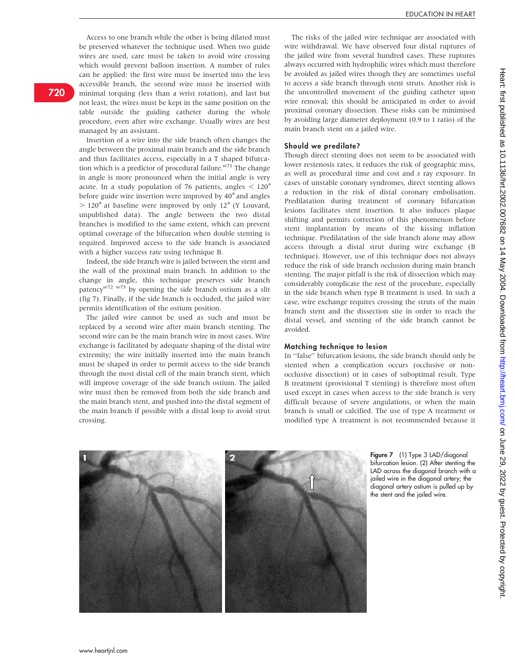Access to one branch while the other is being dilated must be preserved whatever the technique used. When two guide wires are used, care must be taken to avoid wire crossing which would prevent balloon insertion. A number of rules can be applied: the first wire must be inserted into the less accessible branch, the second wire must be inserted with minimal torquing (less than a wrist rotation), and last but not least, the wires must be kept in the same position on the table outside the guiding catheter during the whole procedure, even after wire exchange. Usually wires are best managed by an assistant.

Insertion of a wire into the side branch often changes the angle between the proximal main branch and the side branch and thus facilitates access, especially in a T shaped bifurcation which is a predictor of procedural failure. $w^{71}$  The change in angle is more pronounced when the initial angle is very acute. In a study population of 76 patients, angles  $\leq 120^{\circ}$ before guide wire insertion were improved by 40˚and angles  $> 120^\circ$  at baseline were improved by only 12° (Y Louvard, unpublished data). The angle between the two distal branches is modified to the same extent, which can prevent optimal coverage of the bifurcation when double stenting is required. Improved access to the side branch is associated with a higher success rate using technique B.

Indeed, the side branch wire is jailed between the stent and the wall of the proximal main branch. In addition to the change in angle, this technique preserves side branch patency<sup>w72 w73</sup> by opening the side branch ostium as a slit (fig 7). Finally, if the side branch is occluded, the jailed wire permits identification of the ostium position.

The jailed wire cannot be used as such and must be replaced by a second wire after main branch stenting. The second wire can be the main branch wire in most cases. Wire exchange is facilitated by adequate shaping of the distal wire extremity; the wire initially inserted into the main branch must be shaped in order to permit access to the side branch through the most distal cell of the main branch stent, which will improve coverage of the side branch ostium. The jailed wire must then be removed from both the side branch and the main branch stent, and pushed into the distal segment of the main branch if possible with a distal loop to avoid strut crossing.

The risks of the jailed wire technique are associated with wire withdrawal. We have observed four distal ruptures of the jailed wire from several hundred cases. These ruptures always occurred with hydrophilic wires which must therefore be avoided as jailed wires though they are sometimes useful to access a side branch through stent struts. Another risk is the uncontrolled movement of the guiding catheter upon wire removal; this should be anticipated in order to avoid proximal coronary dissection. These risks can be minimised by avoiding large diameter deployment (0.9 to 1 ratio) of the main branch stent on a jailed wire.

#### Should we predilate?

Though direct stenting does not seem to be associated with lower restenosis rates, it reduces the risk of geographic miss, as well as procedural time and cost and  $x$  ray exposure. In cases of unstable coronary syndromes, direct stenting allows a reduction in the risk of distal coronary embolisation. Predilatation during treatment of coronary bifurcation lesions facilitates stent insertion. It also induces plaque shifting and permits correction of this phenomenon before stent implantation by means of the kissing inflation technique. Predilatation of the side branch alone may allow access through a distal strut during wire exchange (B technique). However, use of this technique does not always reduce the risk of side branch occlusion during main branch stenting. The major pitfall is the risk of dissection which may considerably complicate the rest of the procedure, especially in the side branch when type B treatment is used. In such a case, wire exchange requires crossing the struts of the main branch stent and the dissection site in order to reach the distal vessel, and stenting of the side branch cannot be avoided.

### Matching technique to lesion

In ''false'' bifurcation lesions, the side branch should only be stented when a complication occurs (occlusive or nonocclusive dissection) or in cases of suboptimal result. Type B treatment (provisional T stenting) is therefore most often used except in cases when access to the side branch is very difficult because of severe angulations, or when the main branch is small or calcified. The use of type A treatment or modified type A treatment is not recommended because it



Figure 7 (1) Type 3 LAD/diagonal bifurcation lesion. (2) After stenting the LAD across the diagonal branch with a jailed wire in the diagonal artery; the diagonal artery ostium is pulled up by the stent and the jailed wire.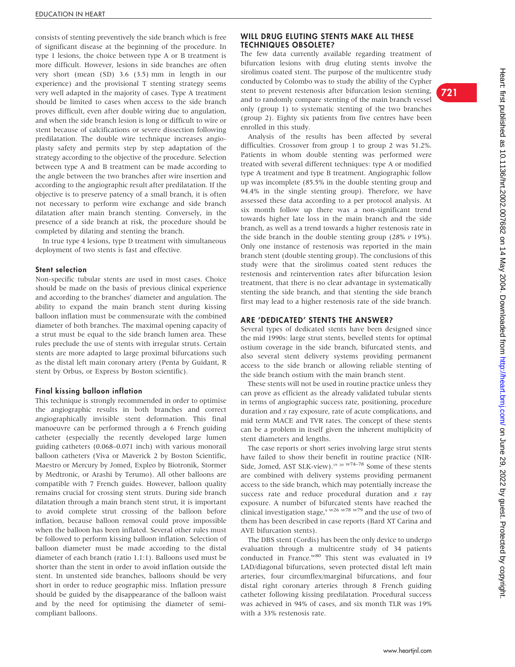consists of stenting preventively the side branch which is free of significant disease at the beginning of the procedure. In type 1 lesions, the choice between type A or B treatment is more difficult. However, lesions in side branches are often very short (mean (SD) 3.6 (3.5) mm in length in our experience) and the provisional T stenting strategy seems very well adapted in the majority of cases. Type A treatment should be limited to cases when access to the side branch proves difficult, even after double wiring due to angulation, and when the side branch lesion is long or difficult to wire or stent because of calcifications or severe dissection following predilatation. The double wire technique increases angioplasty safety and permits step by step adaptation of the strategy according to the objective of the procedure. Selection between type A and B treatment can be made according to the angle between the two branches after wire insertion and according to the angiographic result after predilatation. If the objective is to preserve patency of a small branch, it is often not necessary to perform wire exchange and side branch dilatation after main branch stenting. Conversely, in the presence of a side branch at risk, the procedure should be completed by dilating and stenting the branch.

In true type 4 lesions, type D treatment with simultaneous deployment of two stents is fast and effective.

### Stent selection

Non-specific tubular stents are used in most cases. Choice should be made on the basis of previous clinical experience and according to the branches' diameter and angulation. The ability to expand the main branch stent during kissing balloon inflation must be commensurate with the combined diameter of both branches. The maximal opening capacity of a strut must be equal to the side branch lumen area. These rules preclude the use of stents with irregular struts. Certain stents are more adapted to large proximal bifurcations such as the distal left main coronary artery (Penta by Guidant, R stent by Orbus, or Express by Boston scientific).

#### Final kissing balloon inflation

This technique is strongly recommended in order to optimise the angiographic results in both branches and correct angiographically invisible stent deformation. This final manoeuvre can be performed through a 6 French guiding catheter (especially the recently developed large lumen guiding catheters (0.068–0.071 inch) with various monorail balloon catheters (Viva or Maverick 2 by Boston Scientific, Maestro or Mercury by Jomed, Expleo by Biotronik, Stormer by Medtronic, or Arashi by Terumo). All other balloons are compatible with 7 French guides. However, balloon quality remains crucial for crossing stent struts. During side branch dilatation through a main branch stent strut, it is important to avoid complete strut crossing of the balloon before inflation, because balloon removal could prove impossible when the balloon has been inflated. Several other rules must be followed to perform kissing balloon inflation. Selection of balloon diameter must be made according to the distal diameter of each branch (ratio 1.1:1). Balloons used must be shorter than the stent in order to avoid inflation outside the stent. In unstented side branches, balloons should be very short in order to reduce geographic miss. Inflation pressure should be guided by the disappearance of the balloon waist and by the need for optimising the diameter of semicompliant balloons.

## WILL DRUG ELUTING STENTS MAKE ALL THESE TECHNIQUES OBSOLETE?

The few data currently available regarding treatment of bifurcation lesions with drug eluting stents involve the sirolimus coated stent. The purpose of the multicentre study conducted by Colombo was to study the ability of the Cypher stent to prevent restenosis after bifurcation lesion stenting, and to randomly compare stenting of the main branch vessel only (group 1) to systematic stenting of the two branches (group 2). Eighty six patients from five centres have been enrolled in this study.

Analysis of the results has been affected by several difficulties. Crossover from group 1 to group 2 was 51.2%. Patients in whom double stenting was performed were treated with several different techniques: type A or modified type A treatment and type B treatment. Angiographic follow up was incomplete (85.5% in the double stenting group and 94.4% in the single stenting group). Therefore, we have assessed these data according to a per protocol analysis. At six month follow up there was a non-significant trend towards higher late loss in the main branch and the side branch, as well as a trend towards a higher restenosis rate in the side branch in the double stenting group  $(28\% \nu 19\%).$ Only one instance of restenosis was reported in the main branch stent (double stenting group). The conclusions of this study were that the sirolimus coated stent reduces the restenosis and reintervention rates after bifurcation lesion treatment, that there is no clear advantage in systematically stenting the side branch, and that stenting the side branch first may lead to a higher restenosis rate of the side branch.

### ARE 'DEDICATED' STENTS THE ANSWER?

Several types of dedicated stents have been designed since the mid 1990s: large strut stents, bevelled stents for optimal ostium coverage in the side branch, bifurcated stents, and also several stent delivery systems providing permanent access to the side branch or allowing reliable stenting of the side branch ostium with the main branch stent.

These stents will not be used in routine practice unless they can prove as efficient as the already validated tubular stents in terms of angiographic success rate, positioning, procedure duration and x ray exposure, rate of acute complications, and mid term MACE and TVR rates. The concept of these stents can be a problem in itself given the inherent multiplicity of stent diameters and lengths.

The case reports or short series involving large strut stents have failed to show their benefit in routine practice (NIR-Side, Jomed, AST SLK-view).<sup>19 20</sup> <sup>w74–78</sup> Some of these stents are combined with delivery systems providing permanent access to the side branch, which may potentially increase the success rate and reduce procedural duration and  $x$  ray exposure. A number of bifurcated stents have reached the clinical investigation stage,<sup>9 w26 w78 w79</sup> and the use of two of them has been described in case reports (Bard XT Carina and AVE bifurcation stents).

The DBS stent (Cordis) has been the only device to undergo evaluation through a multicentre study of 34 patients conducted in France.<sup>w80</sup> This stent was evaluated in 19 LAD/diagonal bifurcations, seven protected distal left main arteries, four circumflex/marginal bifurcations, and four distal right coronary arteries through 8 French guiding catheter following kissing predilatation. Procedural success was achieved in 94% of cases, and six month TLR was 19% with a 33% restenosis rate.

721